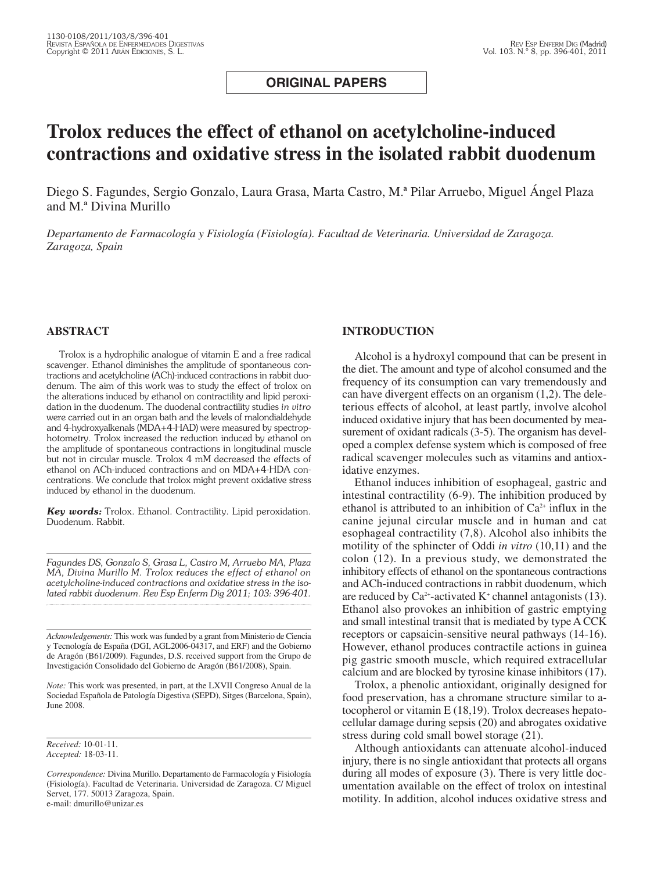**ORIGINAL PAPERS**

# **Trolox reduces the effect of ethanol on acetylcholine-induced contractions and oxidative stress in the isolated rabbit duodenum**

Diego S. Fagundes, Sergio Gonzalo, Laura Grasa, Marta Castro, M.ª Pilar Arruebo, Miguel Ángel Plaza and M.ª Divina Murillo

*Departamento de Farmacología y Fisiología (Fisiología). Facultad de Veterinaria. Universidad de Zaragoza. Zaragoza, Spain*

## **ABSTRACT**

Trolox is a hydrophilic analogue of vitamin E and a free radical scavenger. Ethanol diminishes the amplitude of spontaneous contractions and acetylcholine (ACh)-induced contractions in rabbit duodenum. The aim of this work was to study the effect of trolox on the alterations induced by ethanol on contractility and lipid peroxidation in the duodenum. The duodenal contractility studies *in vitro* were carried out in an organ bath and the levels of malondialdehyde and 4-hydroxyalkenals (MDA+4-HAD) were measured by spectrophotometry. Trolox increased the reduction induced by ethanol on the amplitude of spontaneous contractions in longitudinal muscle but not in circular muscle. Trolox 4 mM decreased the effects of ethanol on ACh-induced contractions and on MDA+4-HDA concentrations. We conclude that trolox might prevent oxidative stress induced by ethanol in the duodenum.

*Key words:* Trolox. Ethanol. Contractility. Lipid peroxidation. Duodenum. Rabbit.

*Fagundes DS, Gonzalo S, Grasa L, Castro M, Arruebo MA, Plaza MA, Divina Murillo M. Trolox reduces the effect of ethanol on acetylcholine-induced contractions and oxidative stress in the isolated rabbit duodenum. Rev Esp Enferm Dig 2011; 103: 396-401.*

*Acknowledgements:* This work was funded by a grant from Ministerio de Ciencia y Tecnología de España (DGI, AGL2006-04317, and ERF) and the Gobierno de Aragón (B61/2009). Fagundes, D.S. received support from the Grupo de Investigación Consolidado del Gobierno de Aragón (B61/2008), Spain.

*Note:* This work was presented, in part, at the LXVII Congreso Anual de la Sociedad Española de Patología Digestiva (SEPD), Sitges (Barcelona, Spain), June 2008.

e-mail: dmurillo@unizar.es

## **INTRODUCTION**

Alcohol is a hydroxyl compound that can be present in the diet. The amount and type of alcohol consumed and the frequency of its consumption can vary tremendously and can have divergent effects on an organism (1,2). The deleterious effects of alcohol, at least partly, involve alcohol induced oxidative injury that has been documented by measurement of oxidant radicals (3-5). The organism has developed a complex defense system which is composed of free radical scavenger molecules such as vitamins and antioxidative enzymes.

Ethanol induces inhibition of esophageal, gastric and intestinal contractility (6-9). The inhibition produced by ethanol is attributed to an inhibition of  $Ca<sup>2+</sup>$  influx in the canine jejunal circular muscle and in human and cat esophageal contractility (7,8). Alcohol also inhibits the motility of the sphincter of Oddi *in vitro* (10,11) and the colon (12). In a previous study, we demonstrated the inhibitory effects of ethanol on the spontaneous contractions and ACh-induced contractions in rabbit duodenum, which are reduced by  $Ca^{2+}$ -activated K<sup>+</sup> channel antagonists (13). Ethanol also provokes an inhibition of gastric emptying and small intestinal transit that is mediated by type A CCK receptors or capsaicin-sensitive neural pathways (14-16). However, ethanol produces contractile actions in guinea pig gastric smooth muscle, which required extracellular calcium and are blocked by tyrosine kinase inhibitors (17).

Trolox, a phenolic antioxidant, originally designed for food preservation, has a chromane structure similar to atocopherol or vitamin E (18,19). Trolox decreases hepatocellular damage during sepsis (20) and abrogates oxidative stress during cold small bowel storage (21).

Although antioxidants can attenuate alcohol-induced injury, there is no single antioxidant that protects all organs during all modes of exposure (3). There is very little documentation available on the effect of trolox on intestinal motility. In addition, alcohol induces oxidative stress and

*Received:* 10-01-11. *Accepted:* 18-03-11.

*Correspondence:* Divina Murillo. Departamento de Farmacología y Fisiología (Fisiología). Facultad de Veterinaria. Universidad de Zaragoza. C/ Miguel Servet, 177. 50013 Zaragoza, Spain.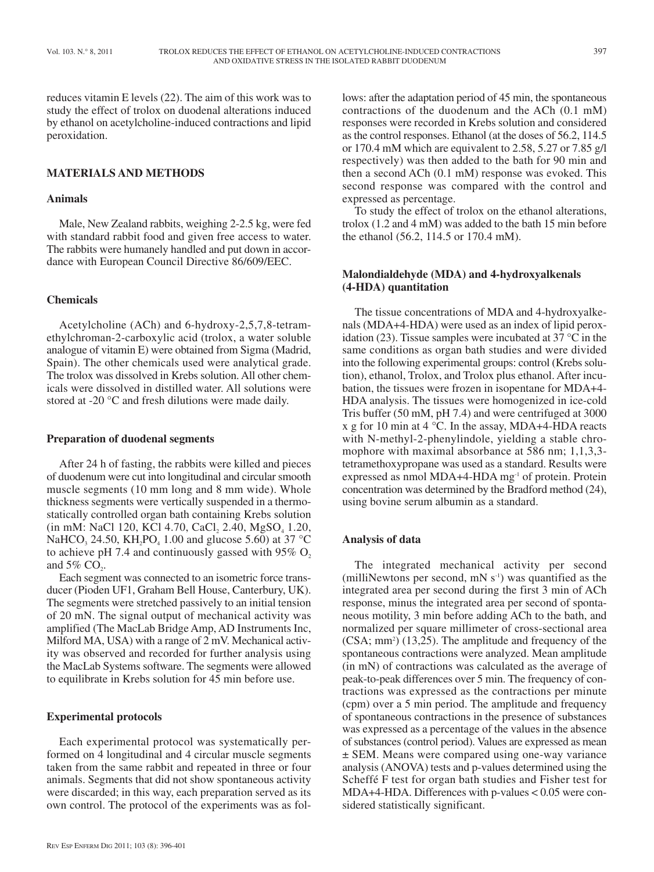reduces vitamin E levels (22). The aim of this work was to study the effect of trolox on duodenal alterations induced by ethanol on acetylcholine-induced contractions and lipid peroxidation.

# **MATERIALS AND METHODS**

# **Animals**

Male, New Zealand rabbits, weighing 2-2.5 kg, were fed with standard rabbit food and given free access to water. The rabbits were humanely handled and put down in accordance with European Council Directive 86/609/EEC.

## **Chemicals**

Acetylcholine (ACh) and 6-hydroxy-2,5,7,8-tetramethylchroman-2-carboxylic acid (trolox, a water soluble analogue of vitamin E) were obtained from Sigma (Madrid, Spain). The other chemicals used were analytical grade. The trolox was dissolved in Krebs solution. All other chemicals were dissolved in distilled water. All solutions were stored at -20 °C and fresh dilutions were made daily.

## **Preparation of duodenal segments**

After 24 h of fasting, the rabbits were killed and pieces of duodenum were cut into longitudinal and circular smooth muscle segments (10 mm long and 8 mm wide). Whole thickness segments were vertically suspended in a thermostatically controlled organ bath containing Krebs solution  $(in mM: NaCl 120, KCl 4.70, CaCl<sub>2</sub> 2.40, MgSO<sub>4</sub> 1.20,$ NaHCO<sub>3</sub> 24.50, KH<sub>2</sub>PO<sub>4</sub> 1.00 and glucose 5.60) at 37 °C to achieve pH 7.4 and continuously gassed with  $95\%$  O, and  $5\%$  CO<sub>2</sub>.

Each segment was connected to an isometric force transducer (Pioden UF1, Graham Bell House, Canterbury, UK). The segments were stretched passively to an initial tension of 20 mN. The signal output of mechanical activity was amplified (The MacLab Bridge Amp, AD Instruments Inc, Milford MA, USA) with a range of 2 mV. Mechanical activity was observed and recorded for further analysis using the MacLab Systems software. The segments were allowed to equilibrate in Krebs solution for 45 min before use.

#### **Experimental protocols**

Each experimental protocol was systematically performed on 4 longitudinal and 4 circular muscle segments taken from the same rabbit and repeated in three or four animals. Segments that did not show spontaneous activity were discarded; in this way, each preparation served as its own control. The protocol of the experiments was as follows: after the adaptation period of 45 min, the spontaneous contractions of the duodenum and the ACh (0.1 mM) responses were recorded in Krebs solution and considered as the control responses. Ethanol (at the doses of 56.2, 114.5 or 170.4 mM which are equivalent to 2.58, 5.27 or 7.85 g/l respectively) was then added to the bath for 90 min and then a second ACh (0.1 mM) response was evoked. This second response was compared with the control and expressed as percentage.

To study the effect of trolox on the ethanol alterations, trolox (1.2 and 4 mM) was added to the bath 15 min before the ethanol (56.2, 114.5 or 170.4 mM).

## **Malondialdehyde (MDA) and 4-hydroxyalkenals (4-HDA) quantitation**

The tissue concentrations of MDA and 4-hydroxyalkenals (MDA+4-HDA) were used as an index of lipid peroxidation (23). Tissue samples were incubated at 37 °C in the same conditions as organ bath studies and were divided into the following experimental groups: control (Krebs solution), ethanol, Trolox, and Trolox plus ethanol. After incubation, the tissues were frozen in isopentane for MDA+4- HDA analysis. The tissues were homogenized in ice-cold Tris buffer (50 mM, pH 7.4) and were centrifuged at 3000 x g for 10 min at 4  $^{\circ}$ C. In the assay, MDA+4-HDA reacts with N-methyl-2-phenylindole, yielding a stable chromophore with maximal absorbance at 586 nm; 1,1,3,3tetramethoxypropane was used as a standard. Results were expressed as nmol MDA+4-HDA  $mg<sup>-1</sup>$  of protein. Protein concentration was determined by the Bradford method (24), using bovine serum albumin as a standard.

## **Analysis of data**

The integrated mechanical activity per second (milliNewtons per second, mN  $s^{-1}$ ) was quantified as the integrated area per second during the first 3 min of ACh response, minus the integrated area per second of spontaneous motility, 3 min before adding ACh to the bath, and normalized per square millimeter of cross-sectional area (CSA; mm<sup>2</sup>) (13,25). The amplitude and frequency of the spontaneous contractions were analyzed. Mean amplitude (in mN) of contractions was calculated as the average of peak-to-peak differences over 5 min. The frequency of contractions was expressed as the contractions per minute (cpm) over a 5 min period. The amplitude and frequency of spontaneous contractions in the presence of substances was expressed as a percentage of the values in the absence of substances (control period). Values are expressed as mean ± SEM. Means were compared using one-way variance analysis (ANOVA) tests and p-values determined using the Scheffé F test for organ bath studies and Fisher test for MDA+4-HDA. Differences with p-values  $< 0.05$  were considered statistically significant.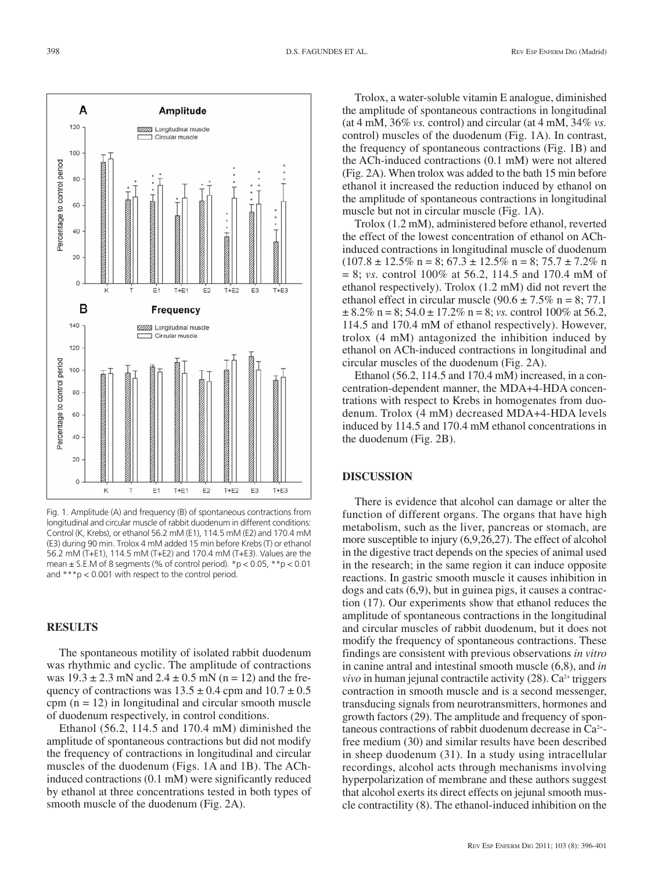

Fig. 1. Amplitude (A) and frequency (B) of spontaneous contractions from longitudinal and circular muscle of rabbit duodenum in different conditions: Control (K, Krebs), or ethanol 56.2 mM (E1), 114.5 mM (E2) and 170.4 mM (E3) during 90 min. Trolox 4 mM added 15 min before Krebs (T) or ethanol 56.2 mM (T+E1), 114.5 mM (T+E2) and 170.4 mM (T+E3). Values are the mean  $\pm$  S.E.M of 8 segments (% of control period). \*p < 0.05, \*\*p < 0.01 and \*\*\*p < 0.001 with respect to the control period.

# **RESULTS**

The spontaneous motility of isolated rabbit duodenum was rhythmic and cyclic. The amplitude of contractions was  $19.3 \pm 2.3$  mN and  $2.4 \pm 0.5$  mN (n = 12) and the frequency of contractions was  $13.5 \pm 0.4$  cpm and  $10.7 \pm 0.5$ cpm  $(n = 12)$  in longitudinal and circular smooth muscle of duodenum respectively, in control conditions.

Ethanol (56.2, 114.5 and 170.4 mM) diminished the amplitude of spontaneous contractions but did not modify the frequency of contractions in longitudinal and circular muscles of the duodenum (Figs. 1A and 1B). The AChinduced contractions (0.1 mM) were significantly reduced by ethanol at three concentrations tested in both types of smooth muscle of the duodenum (Fig. 2A).

Trolox, a water-soluble vitamin E analogue, diminished the amplitude of spontaneous contractions in longitudinal (at 4 mM, 36% *vs.* control) and circular (at 4 mM, 34% *vs.* control) muscles of the duodenum (Fig. 1A). In contrast, the frequency of spontaneous contractions (Fig. 1B) and the ACh-induced contractions (0.1 mM) were not altered (Fig. 2A). When trolox was added to the bath 15 min before ethanol it increased the reduction induced by ethanol on the amplitude of spontaneous contractions in longitudinal muscle but not in circular muscle (Fig. 1A).

Trolox (1.2 mM), administered before ethanol, reverted the effect of the lowest concentration of ethanol on AChinduced contractions in longitudinal muscle of duodenum  $(107.8 \pm 12.5\% \text{ n} = 8; 67.3 \pm 12.5\% \text{ n} = 8; 75.7 \pm 7.2\% \text{ n}$ = 8; *vs.* control 100% at 56.2, 114.5 and 170.4 mM of ethanol respectively). Trolox (1.2 mM) did not revert the ethanol effect in circular muscle  $(90.6 \pm 7.5\% \text{ n} = 8; 77.1)$  $\pm 8.2\%$  n = 8; 54.0  $\pm$  17.2% n = 8; *vs.* control 100% at 56.2, 114.5 and 170.4 mM of ethanol respectively). However, trolox (4 mM) antagonized the inhibition induced by ethanol on ACh-induced contractions in longitudinal and circular muscles of the duodenum (Fig. 2A).

Ethanol (56.2, 114.5 and 170.4 mM) increased, in a concentration-dependent manner, the MDA+4-HDA concentrations with respect to Krebs in homogenates from duodenum. Trolox (4 mM) decreased MDA+4-HDA levels induced by 114.5 and 170.4 mM ethanol concentrations in the duodenum (Fig. 2B).

## **DISCUSSION**

There is evidence that alcohol can damage or alter the function of different organs. The organs that have high metabolism, such as the liver, pancreas or stomach, are more susceptible to injury (6,9,26,27). The effect of alcohol in the digestive tract depends on the species of animal used in the research; in the same region it can induce opposite reactions. In gastric smooth muscle it causes inhibition in dogs and cats (6,9), but in guinea pigs, it causes a contraction (17). Our experiments show that ethanol reduces the amplitude of spontaneous contractions in the longitudinal and circular muscles of rabbit duodenum, but it does not modify the frequency of spontaneous contractions. These findings are consistent with previous observations *in vitro* in canine antral and intestinal smooth muscle (6,8), and *in vivo* in human jejunal contractile activity  $(28)$ .  $Ca<sup>2+</sup>$  triggers contraction in smooth muscle and is a second messenger, transducing signals from neurotransmitters, hormones and growth factors (29). The amplitude and frequency of spontaneous contractions of rabbit duodenum decrease in Ca2+ free medium (30) and similar results have been described in sheep duodenum (31). In a study using intracellular recordings, alcohol acts through mechanisms involving hyperpolarization of membrane and these authors suggest that alcohol exerts its direct effects on jejunal smooth muscle contractility (8). The ethanol-induced inhibition on the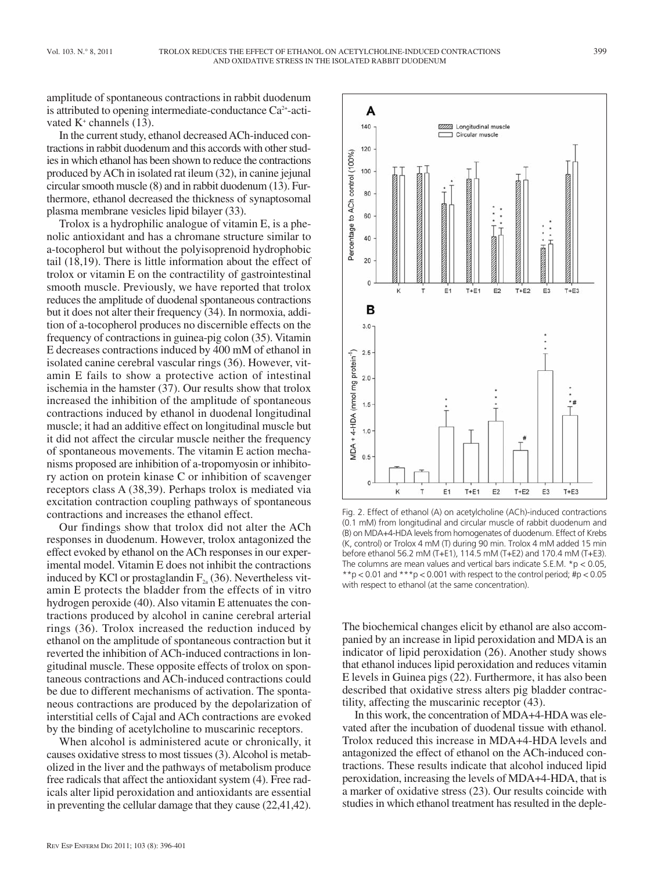amplitude of spontaneous contractions in rabbit duodenum is attributed to opening intermediate-conductance  $Ca^{2+}$ -activated  $K^+$  channels (13).

In the current study, ethanol decreased ACh-induced contractions in rabbit duodenum and this accords with other studies in which ethanol has been shown to reduce the contractions produced by ACh in isolated rat ileum (32), in canine jejunal circular smooth muscle (8) and in rabbit duodenum (13). Furthermore, ethanol decreased the thickness of synaptosomal plasma membrane vesicles lipid bilayer (33).

Trolox is a hydrophilic analogue of vitamin E, is a phenolic antioxidant and has a chromane structure similar to a-tocopherol but without the polyisoprenoid hydrophobic tail (18,19). There is little information about the effect of trolox or vitamin E on the contractility of gastrointestinal smooth muscle. Previously, we have reported that trolox reduces the amplitude of duodenal spontaneous contractions but it does not alter their frequency (34). In normoxia, addition of a-tocopherol produces no discernible effects on the frequency of contractions in guinea-pig colon (35). Vitamin E decreases contractions induced by 400 mM of ethanol in isolated canine cerebral vascular rings (36). However, vitamin E fails to show a protective action of intestinal ischemia in the hamster (37). Our results show that trolox increased the inhibition of the amplitude of spontaneous contractions induced by ethanol in duodenal longitudinal muscle; it had an additive effect on longitudinal muscle but it did not affect the circular muscle neither the frequency of spontaneous movements. The vitamin E action mechanisms proposed are inhibition of a-tropomyosin or inhibitory action on protein kinase C or inhibition of scavenger receptors class A (38,39). Perhaps trolox is mediated via excitation contraction coupling pathways of spontaneous contractions and increases the ethanol effect.

Our findings show that trolox did not alter the ACh responses in duodenum. However, trolox antagonized the effect evoked by ethanol on the ACh responses in our experimental model. Vitamin E does not inhibit the contractions induced by KCl or prostaglandin  $F_{2a}$  (36). Nevertheless vitamin E protects the bladder from the effects of in vitro hydrogen peroxide (40). Also vitamin E attenuates the contractions produced by alcohol in canine cerebral arterial rings (36). Trolox increased the reduction induced by ethanol on the amplitude of spontaneous contraction but it reverted the inhibition of ACh-induced contractions in longitudinal muscle. These opposite effects of trolox on spontaneous contractions and ACh-induced contractions could be due to different mechanisms of activation. The spontaneous contractions are produced by the depolarization of interstitial cells of Cajal and ACh contractions are evoked by the binding of acetylcholine to muscarinic receptors.

When alcohol is administered acute or chronically, it causes oxidative stress to most tissues (3). Alcohol is metabolized in the liver and the pathways of metabolism produce free radicals that affect the antioxidant system (4). Free radicals alter lipid peroxidation and antioxidants are essential in preventing the cellular damage that they cause (22,41,42).



Fig. 2. Effect of ethanol (A) on acetylcholine (ACh)-induced contractions (0.1 mM) from longitudinal and circular muscle of rabbit duodenum and (B) on MDA+4-HDA levels from homogenates of duodenum. Effect of Krebs (K, control) or Trolox 4 mM (T) during 90 min. Trolox 4 mM added 15 min before ethanol 56.2 mM (T+E1), 114.5 mM (T+E2) and 170.4 mM (T+E3). The columns are mean values and vertical bars indicate S.E.M.  $*p < 0.05$ , \*\*p < 0.01 and \*\*\*p < 0.001 with respect to the control period; #p < 0.05 with respect to ethanol (at the same concentration).

The biochemical changes elicit by ethanol are also accompanied by an increase in lipid peroxidation and MDA is an indicator of lipid peroxidation (26). Another study shows that ethanol induces lipid peroxidation and reduces vitamin E levels in Guinea pigs (22). Furthermore, it has also been described that oxidative stress alters pig bladder contractility, affecting the muscarinic receptor (43).

In this work, the concentration of MDA+4-HDA was elevated after the incubation of duodenal tissue with ethanol. Trolox reduced this increase in MDA+4-HDA levels and antagonized the effect of ethanol on the ACh-induced contractions. These results indicate that alcohol induced lipid peroxidation, increasing the levels of MDA+4-HDA, that is a marker of oxidative stress (23). Our results coincide with studies in which ethanol treatment has resulted in the deple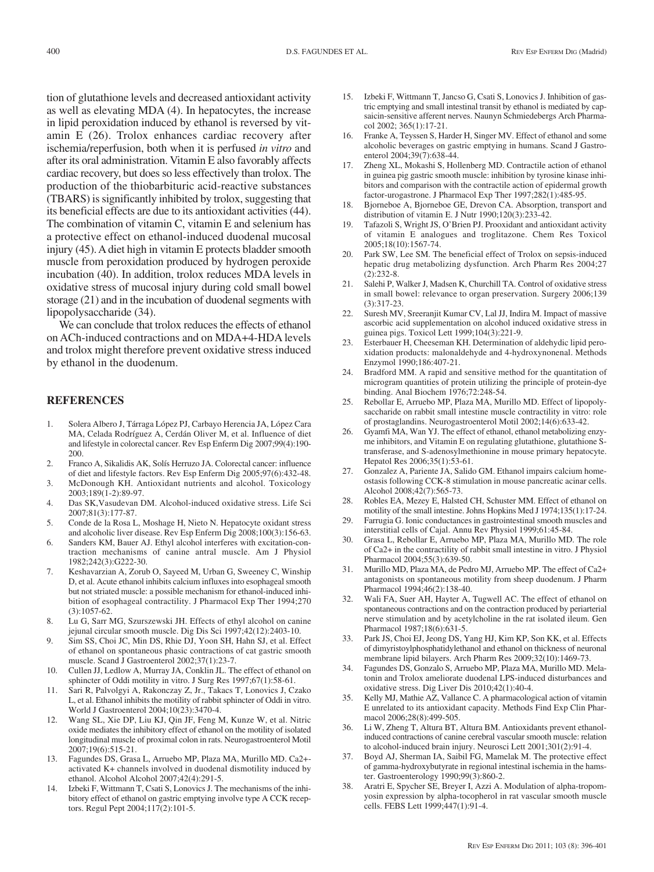tion of glutathione levels and decreased antioxidant activity as well as elevating MDA (4). In hepatocytes, the increase in lipid peroxidation induced by ethanol is reversed by vitamin E (26). Trolox enhances cardiac recovery after ischemia/reperfusion, both when it is perfused *in vitro* and after its oral administration. Vitamin E also favorably affects cardiac recovery, but does so less effectively than trolox. The production of the thiobarbituric acid-reactive substances (TBARS) is significantly inhibited by trolox, suggesting that its beneficial effects are due to its antioxidant activities (44). The combination of vitamin C, vitamin E and selenium has a protective effect on ethanol-induced duodenal mucosal injury (45). A diet high in vitamin E protects bladder smooth muscle from peroxidation produced by hydrogen peroxide incubation (40). In addition, trolox reduces MDA levels in oxidative stress of mucosal injury during cold small bowel storage (21) and in the incubation of duodenal segments with lipopolysaccharide (34).

We can conclude that trolox reduces the effects of ethanol on ACh-induced contractions and on MDA+4-HDA levels and trolox might therefore prevent oxidative stress induced by ethanol in the duodenum.

# **REFERENCES**

- 1. Solera Albero J, Tárraga López PJ, Carbayo Herencia JA, López Cara MA, Celada Rodríguez A, Cerdán Oliver M, et al. Influence of diet and lifestyle in colorectal cancer. Rev Esp Enferm Dig 2007;99(4):190- 200.
- 2. Franco A, Sikalidis AK, Solís Herruzo JA. Colorectal cancer: influence of diet and lifestyle factors. Rev Esp Enferm Dig 2005;97(6):432-48.
- 3. McDonough KH. Antioxidant nutrients and alcohol. Toxicology 2003;189(1-2):89-97.
- 4. Das SK,Vasudevan DM. Alcohol-induced oxidative stress. Life Sci 2007;81(3):177-87.
- 5. Conde de la Rosa L, Moshage H, Nieto N. Hepatocyte oxidant stress and alcoholic liver disease. Rev Esp Enferm Dig 2008;100(3):156-63.
- 6. Sanders KM, Bauer AJ. Ethyl alcohol interferes with excitation-contraction mechanisms of canine antral muscle. Am J Physiol 1982;242(3):G222-30.
- 7. Keshavarzian A, Zorub O, Sayeed M, Urban G, Sweeney C, Winship D, et al. Acute ethanol inhibits calcium influxes into esophageal smooth but not striated muscle: a possible mechanism for ethanol-induced inhibition of esophageal contractility. J Pharmacol Exp Ther 1994;270 (3):1057-62.
- 8. Lu G, Sarr MG, Szurszewski JH. Effects of ethyl alcohol on canine jejunal circular smooth muscle. Dig Dis Sci 1997;42(12):2403-10.
- 9. Sim SS, Choi JC, Min DS, Rhie DJ, Yoon SH, Hahn SJ, et al. Effect of ethanol on spontaneous phasic contractions of cat gastric smooth muscle. Scand J Gastroenterol 2002;37(1):23-7.
- 10. Cullen JJ, Ledlow A, Murray JA, Conklin JL. The effect of ethanol on sphincter of Oddi motility in vitro. J Surg Res 1997;67(1):58-61.
- 11. Sari R, Palvolgyi A, Rakonczay Z, Jr., Takacs T, Lonovics J, Czako L, et al. Ethanol inhibits the motility of rabbit sphincter of Oddi in vitro. World J Gastroenterol 2004;10(23):3470-4.
- 12. Wang SL, Xie DP, Liu KJ, Qin JF, Feng M, Kunze W, et al. Nitric oxide mediates the inhibitory effect of ethanol on the motility of isolated longitudinal muscle of proximal colon in rats. Neurogastroenterol Motil 2007;19(6):515-21.
- 13. Fagundes DS, Grasa L, Arruebo MP, Plaza MA, Murillo MD. Ca2+ activated K+ channels involved in duodenal dismotility induced by ethanol. Alcohol Alcohol 2007;42(4):291-5.
- 14. Izbeki F, Wittmann T, Csati S, Lonovics J. The mechanisms of the inhibitory effect of ethanol on gastric emptying involve type A CCK receptors. Regul Pept 2004;117(2):101-5.
- 15. Izbeki F, Wittmann T, Jancso G, Csati S, Lonovics J. Inhibition of gastric emptying and small intestinal transit by ethanol is mediated by capsaicin-sensitive afferent nerves. Naunyn Schmiedebergs Arch Pharmacol 2002; 365(1):17-21.
- 16. Franke A, Teyssen S, Harder H, Singer MV. Effect of ethanol and some alcoholic beverages on gastric emptying in humans. Scand J Gastroenterol 2004;39(7):638-44.
- 17. Zheng XL, Mokashi S, Hollenberg MD. Contractile action of ethanol in guinea pig gastric smooth muscle: inhibition by tyrosine kinase inhibitors and comparison with the contractile action of epidermal growth factor-urogastrone. J Pharmacol Exp Ther 1997;282(1):485-95.
- 18. Bjorneboe A, Bjorneboe GE, Drevon CA. Absorption, transport and distribution of vitamin E. J Nutr 1990;120(3):233-42.
- 19. Tafazoli S, Wright JS, O'Brien PJ. Prooxidant and antioxidant activity of vitamin E analogues and troglitazone. Chem Res Toxicol 2005;18(10):1567-74.
- 20. Park SW, Lee SM. The beneficial effect of Trolox on sepsis-induced hepatic drug metabolizing dysfunction. Arch Pharm Res 2004;27 (2):232-8.
- 21. Salehi P, Walker J, Madsen K, Churchill TA. Control of oxidative stress in small bowel: relevance to organ preservation. Surgery 2006;139 (3):317-23.
- 22. Suresh MV, Sreeranjit Kumar CV, Lal JJ, Indira M. Impact of massive ascorbic acid supplementation on alcohol induced oxidative stress in guinea pigs. Toxicol Lett 1999;104(3):221-9.
- 23. Esterbauer H, Cheeseman KH. Determination of aldehydic lipid peroxidation products: malonaldehyde and 4-hydroxynonenal. Methods Enzymol 1990;186:407-21.
- 24. Bradford MM. A rapid and sensitive method for the quantitation of microgram quantities of protein utilizing the principle of protein-dye binding. Anal Biochem 1976;72:248-54.
- 25. Rebollar E, Arruebo MP, Plaza MA, Murillo MD. Effect of lipopolysaccharide on rabbit small intestine muscle contractility in vitro: role of prostaglandins. Neurogastroenterol Motil 2002;14(6):633-42.
- 26. Gyamfi MA, Wan YJ. The effect of ethanol, ethanol metabolizing enzyme inhibitors, and Vitamin E on regulating glutathione, glutathione Stransferase, and S-adenosylmethionine in mouse primary hepatocyte. Hepatol Res 2006;35(1):53-61.
- 27. Gonzalez A, Pariente JA, Salido GM. Ethanol impairs calcium homeostasis following CCK-8 stimulation in mouse pancreatic acinar cells. Alcohol 2008;42(7):565-73.
- 28. Robles EA, Mezey E, Halsted CH, Schuster MM. Effect of ethanol on motility of the small intestine. Johns Hopkins Med J 1974;135(1):17-24.
- 29. Farrugia G. Ionic conductances in gastrointestinal smooth muscles and interstitial cells of Cajal. Annu Rev Physiol 1999;61:45-84.
- 30. Grasa L, Rebollar E, Arruebo MP, Plaza MA, Murillo MD. The role of Ca2+ in the contractility of rabbit small intestine in vitro. J Physiol Pharmacol 2004;55(3):639-50.
- 31. Murillo MD, Plaza MA, de Pedro MJ, Arruebo MP. The effect of Ca2+ antagonists on spontaneous motility from sheep duodenum. J Pharm Pharmacol 1994;46(2):138-40.
- 32. Wali FA, Suer AH, Hayter A, Tugwell AC. The effect of ethanol on spontaneous contractions and on the contraction produced by periarterial nerve stimulation and by acetylcholine in the rat isolated ileum. Gen Pharmacol 1987;18(6):631-5.
- 33. Park JS, Choi EJ, Jeong DS, Yang HJ, Kim KP, Son KK, et al. Effects of dimyristoylphosphatidylethanol and ethanol on thickness of neuronal membrane lipid bilayers. Arch Pharm Res 2009;32(10):1469-73.
- 34. Fagundes DS, Gonzalo S, Arruebo MP, Plaza MA, Murillo MD. Melatonin and Trolox ameliorate duodenal LPS-induced disturbances and oxidative stress. Dig Liver Dis 2010;42(1):40-4.
- 35. Kelly MJ, Mathie AZ, Vallance C. A pharmacological action of vitamin E unrelated to its antioxidant capacity. Methods Find Exp Clin Pharmacol 2006;28(8):499-505.
- 36. Li W, Zheng T, Altura BT, Altura BM. Antioxidants prevent ethanolinduced contractions of canine cerebral vascular smooth muscle: relation to alcohol-induced brain injury. Neurosci Lett 2001;301(2):91-4.
- 37. Boyd AJ, Sherman IA, Saibil FG, Mamelak M. The protective effect of gamma-hydroxybutyrate in regional intestinal ischemia in the hamster. Gastroenterology 1990;99(3):860-2.
- 38. Aratri E, Spycher SE, Breyer I, Azzi A. Modulation of alpha-tropomyosin expression by alpha-tocopherol in rat vascular smooth muscle cells. FEBS Lett 1999;447(1):91-4.